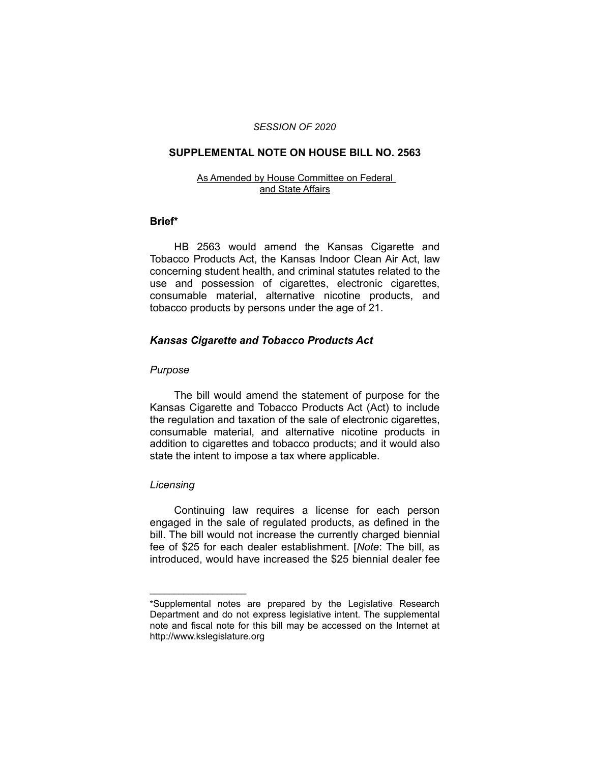#### *SESSION OF 2020*

#### **SUPPLEMENTAL NOTE ON HOUSE BILL NO. 2563**

#### As Amended by House Committee on Federal and State Affairs

#### **Brief\***

HB 2563 would amend the Kansas Cigarette and Tobacco Products Act, the Kansas Indoor Clean Air Act, law concerning student health, and criminal statutes related to the use and possession of cigarettes, electronic cigarettes, consumable material, alternative nicotine products, and tobacco products by persons under the age of 21.

### *Kansas Cigarette and Tobacco Products Act*

#### *Purpose*

The bill would amend the statement of purpose for the Kansas Cigarette and Tobacco Products Act (Act) to include the regulation and taxation of the sale of electronic cigarettes, consumable material, and alternative nicotine products in addition to cigarettes and tobacco products; and it would also state the intent to impose a tax where applicable.

### *Licensing*

 $\overline{\phantom{a}}$  , where  $\overline{\phantom{a}}$  , where  $\overline{\phantom{a}}$ 

Continuing law requires a license for each person engaged in the sale of regulated products, as defined in the bill. The bill would not increase the currently charged biennial fee of \$25 for each dealer establishment. [*Note*: The bill, as introduced, would have increased the \$25 biennial dealer fee

<sup>\*</sup>Supplemental notes are prepared by the Legislative Research Department and do not express legislative intent. The supplemental note and fiscal note for this bill may be accessed on the Internet at http://www.kslegislature.org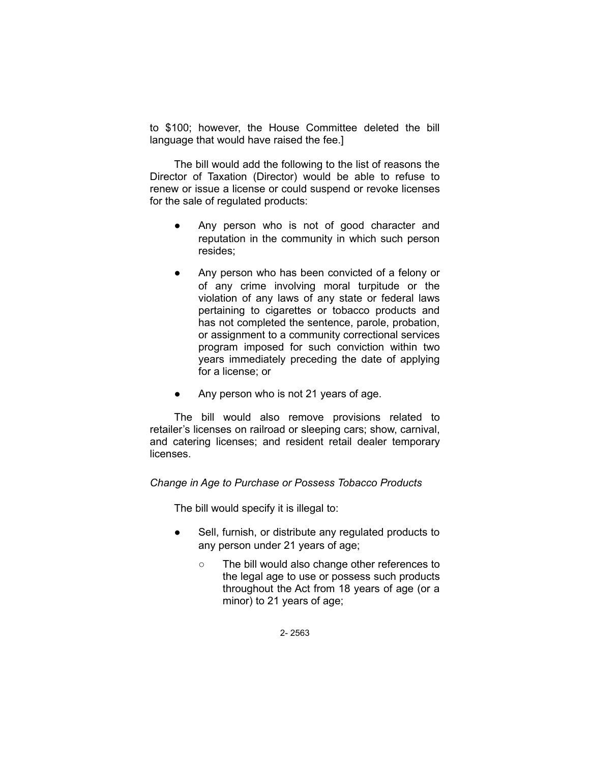to \$100; however, the House Committee deleted the bill language that would have raised the fee.]

The bill would add the following to the list of reasons the Director of Taxation (Director) would be able to refuse to renew or issue a license or could suspend or revoke licenses for the sale of regulated products:

- Any person who is not of good character and reputation in the community in which such person resides;
- Any person who has been convicted of a felony or of any crime involving moral turpitude or the violation of any laws of any state or federal laws pertaining to cigarettes or tobacco products and has not completed the sentence, parole, probation, or assignment to a community correctional services program imposed for such conviction within two years immediately preceding the date of applying for a license; or
- Any person who is not 21 years of age.

The bill would also remove provisions related to retailer's licenses on railroad or sleeping cars; show, carnival, and catering licenses; and resident retail dealer temporary **licenses** 

## *Change in Age to Purchase or Possess Tobacco Products*

The bill would specify it is illegal to:

- Sell, furnish, or distribute any regulated products to any person under 21 years of age;
	- The bill would also change other references to the legal age to use or possess such products throughout the Act from 18 years of age (or a minor) to 21 years of age;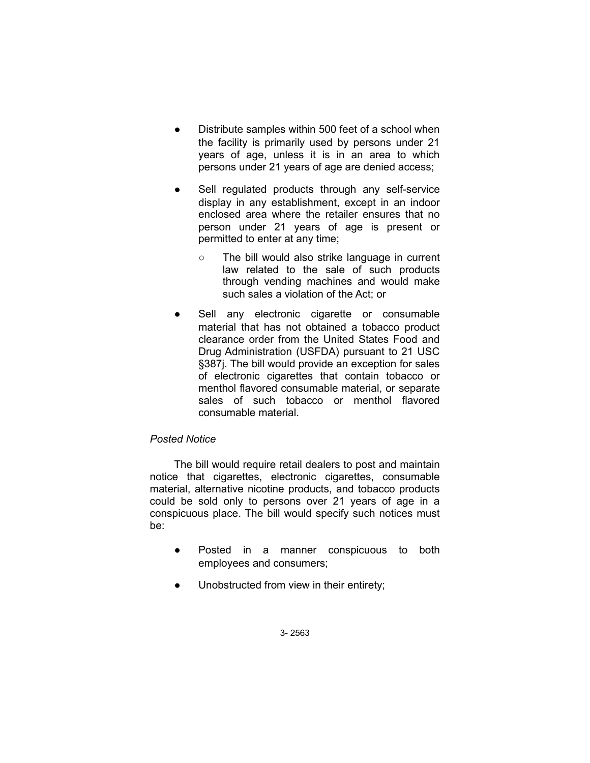- Distribute samples within 500 feet of a school when the facility is primarily used by persons under 21 years of age, unless it is in an area to which persons under 21 years of age are denied access;
- Sell regulated products through any self-service display in any establishment, except in an indoor enclosed area where the retailer ensures that no person under 21 years of age is present or permitted to enter at any time;
	- The bill would also strike language in current law related to the sale of such products through vending machines and would make such sales a violation of the Act; or
- Sell any electronic cigarette or consumable material that has not obtained a tobacco product clearance order from the United States Food and Drug Administration (USFDA) pursuant to 21 USC §387j. The bill would provide an exception for sales of electronic cigarettes that contain tobacco or menthol flavored consumable material, or separate sales of such tobacco or menthol flavored consumable material.

## *Posted Notice*

The bill would require retail dealers to post and maintain notice that cigarettes, electronic cigarettes, consumable material, alternative nicotine products, and tobacco products could be sold only to persons over 21 years of age in a conspicuous place. The bill would specify such notices must be:

- Posted in a manner conspicuous to both employees and consumers;
- Unobstructed from view in their entirety;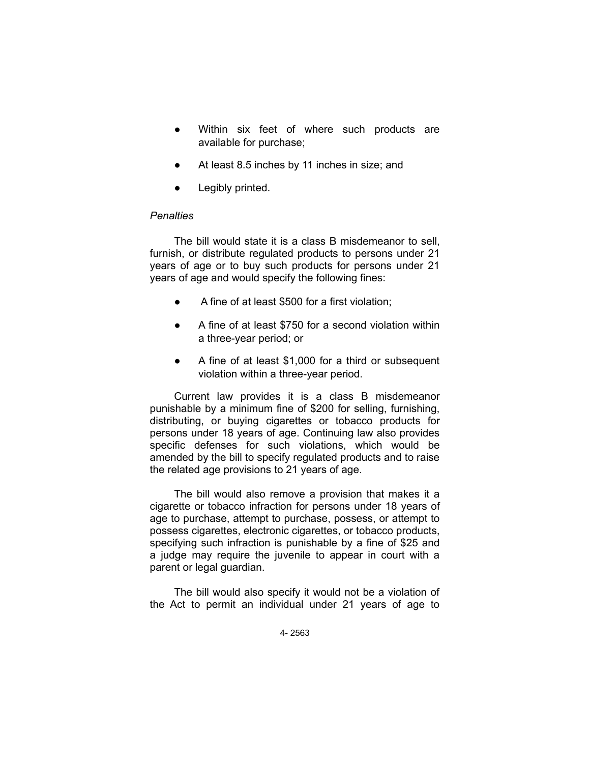- Within six feet of where such products are available for purchase;
- At least 8.5 inches by 11 inches in size; and
- Legibly printed.

## *Penalties*

The bill would state it is a class B misdemeanor to sell, furnish, or distribute regulated products to persons under 21 years of age or to buy such products for persons under 21 years of age and would specify the following fines:

- A fine of at least \$500 for a first violation;
- A fine of at least \$750 for a second violation within a three-year period; or
- A fine of at least \$1,000 for a third or subsequent violation within a three-year period.

Current law provides it is a class B misdemeanor punishable by a minimum fine of \$200 for selling, furnishing, distributing, or buying cigarettes or tobacco products for persons under 18 years of age. Continuing law also provides specific defenses for such violations, which would be amended by the bill to specify regulated products and to raise the related age provisions to 21 years of age.

The bill would also remove a provision that makes it a cigarette or tobacco infraction for persons under 18 years of age to purchase, attempt to purchase, possess, or attempt to possess cigarettes, electronic cigarettes, or tobacco products, specifying such infraction is punishable by a fine of \$25 and a judge may require the juvenile to appear in court with a parent or legal guardian.

The bill would also specify it would not be a violation of the Act to permit an individual under 21 years of age to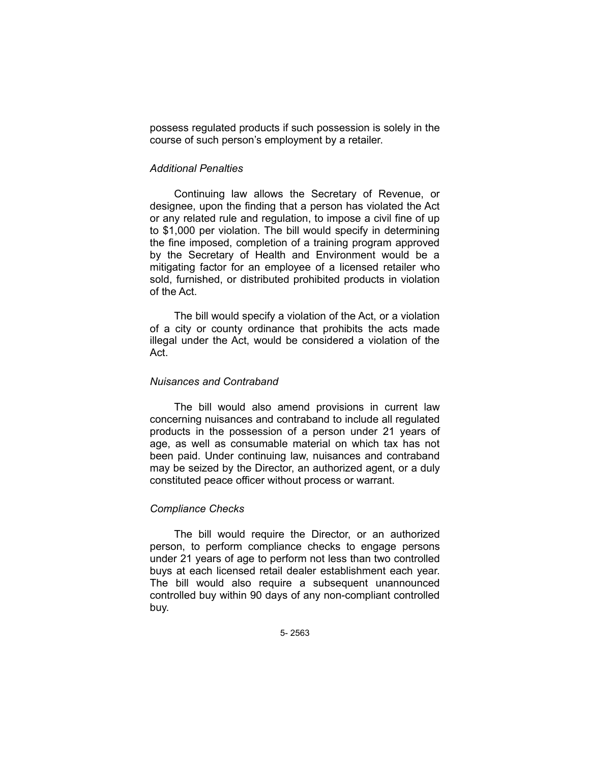possess regulated products if such possession is solely in the course of such person's employment by a retailer.

### *Additional Penalties*

Continuing law allows the Secretary of Revenue, or designee, upon the finding that a person has violated the Act or any related rule and regulation, to impose a civil fine of up to \$1,000 per violation. The bill would specify in determining the fine imposed, completion of a training program approved by the Secretary of Health and Environment would be a mitigating factor for an employee of a licensed retailer who sold, furnished, or distributed prohibited products in violation of the Act.

The bill would specify a violation of the Act, or a violation of a city or county ordinance that prohibits the acts made illegal under the Act, would be considered a violation of the Act.

### *Nuisances and Contraband*

The bill would also amend provisions in current law concerning nuisances and contraband to include all regulated products in the possession of a person under 21 years of age, as well as consumable material on which tax has not been paid. Under continuing law, nuisances and contraband may be seized by the Director, an authorized agent, or a duly constituted peace officer without process or warrant.

### *Compliance Checks*

The bill would require the Director, or an authorized person, to perform compliance checks to engage persons under 21 years of age to perform not less than two controlled buys at each licensed retail dealer establishment each year. The bill would also require a subsequent unannounced controlled buy within 90 days of any non-compliant controlled buy.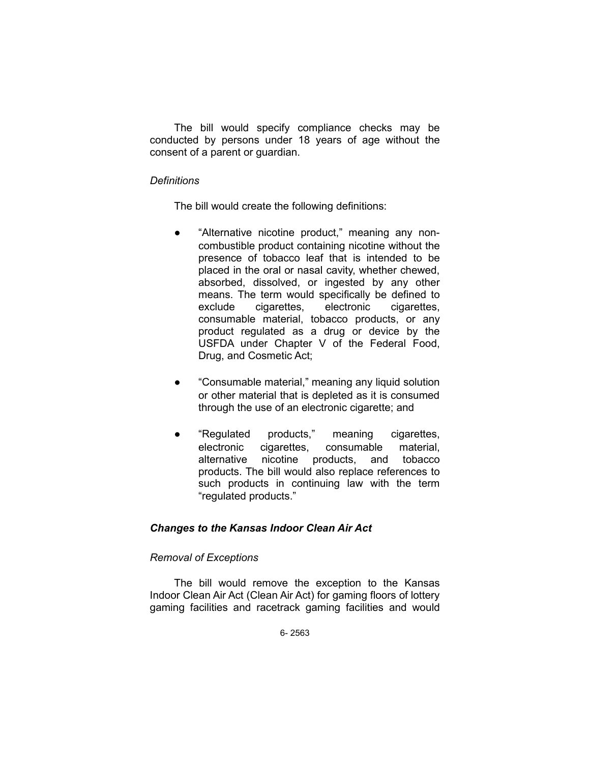The bill would specify compliance checks may be conducted by persons under 18 years of age without the consent of a parent or guardian.

### *Definitions*

The bill would create the following definitions:

- "Alternative nicotine product," meaning any noncombustible product containing nicotine without the presence of tobacco leaf that is intended to be placed in the oral or nasal cavity, whether chewed, absorbed, dissolved, or ingested by any other means. The term would specifically be defined to exclude cigarettes, electronic cigarettes, consumable material, tobacco products, or any product regulated as a drug or device by the USFDA under Chapter V of the Federal Food, Drug, and Cosmetic Act;
- "Consumable material," meaning any liquid solution or other material that is depleted as it is consumed through the use of an electronic cigarette; and
- "Regulated products," meaning cigarettes, electronic cigarettes, consumable material, alternative nicotine products, and tobacco products. The bill would also replace references to such products in continuing law with the term "regulated products."

## *Changes to the Kansas Indoor Clean Air Act*

## *Removal of Exceptions*

The bill would remove the exception to the Kansas Indoor Clean Air Act (Clean Air Act) for gaming floors of lottery gaming facilities and racetrack gaming facilities and would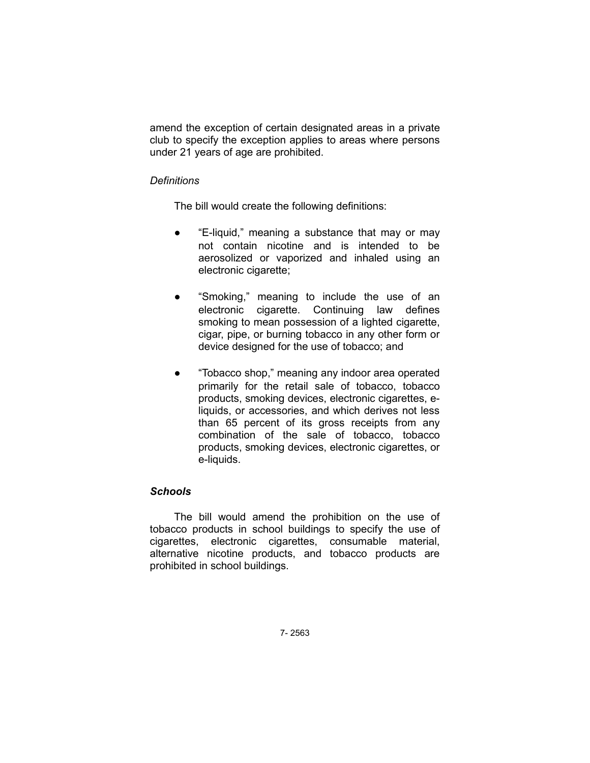amend the exception of certain designated areas in a private club to specify the exception applies to areas where persons under 21 years of age are prohibited.

## *Definitions*

The bill would create the following definitions:

- "E-liquid," meaning a substance that may or may not contain nicotine and is intended to be aerosolized or vaporized and inhaled using an electronic cigarette;
- "Smoking," meaning to include the use of an electronic cigarette. Continuing law defines smoking to mean possession of a lighted cigarette, cigar, pipe, or burning tobacco in any other form or device designed for the use of tobacco; and
- "Tobacco shop," meaning any indoor area operated primarily for the retail sale of tobacco, tobacco products, smoking devices, electronic cigarettes, eliquids, or accessories, and which derives not less than 65 percent of its gross receipts from any combination of the sale of tobacco, tobacco products, smoking devices, electronic cigarettes, or e-liquids.

# *Schools*

The bill would amend the prohibition on the use of tobacco products in school buildings to specify the use of cigarettes, electronic cigarettes, consumable material, alternative nicotine products, and tobacco products are prohibited in school buildings.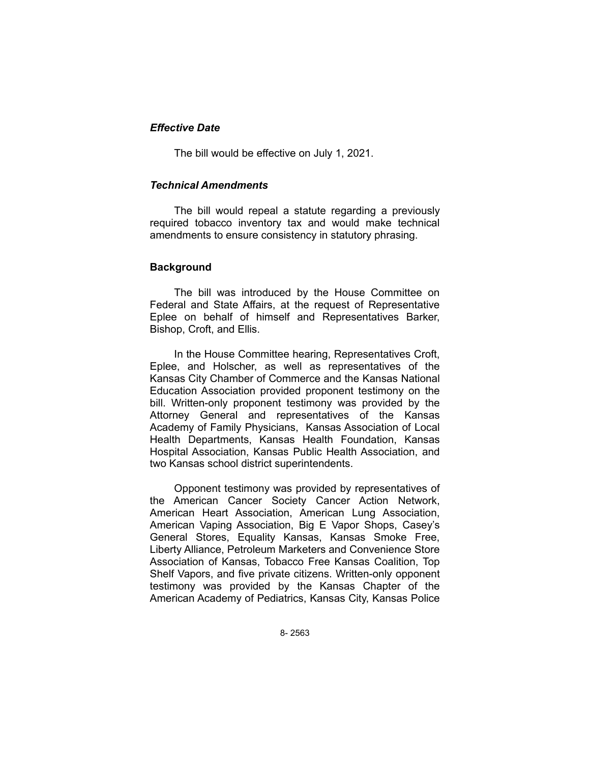## *Effective Date*

The bill would be effective on July 1, 2021.

## *Technical Amendments*

The bill would repeal a statute regarding a previously required tobacco inventory tax and would make technical amendments to ensure consistency in statutory phrasing.

## **Background**

The bill was introduced by the House Committee on Federal and State Affairs, at the request of Representative Eplee on behalf of himself and Representatives Barker, Bishop, Croft, and Ellis.

In the House Committee hearing, Representatives Croft, Eplee, and Holscher, as well as representatives of the Kansas City Chamber of Commerce and the Kansas National Education Association provided proponent testimony on the bill. Written-only proponent testimony was provided by the Attorney General and representatives of the Kansas Academy of Family Physicians, Kansas Association of Local Health Departments, Kansas Health Foundation, Kansas Hospital Association, Kansas Public Health Association, and two Kansas school district superintendents.

Opponent testimony was provided by representatives of the American Cancer Society Cancer Action Network, American Heart Association, American Lung Association, American Vaping Association, Big E Vapor Shops, Casey's General Stores, Equality Kansas, Kansas Smoke Free, Liberty Alliance, Petroleum Marketers and Convenience Store Association of Kansas, Tobacco Free Kansas Coalition, Top Shelf Vapors, and five private citizens. Written-only opponent testimony was provided by the Kansas Chapter of the American Academy of Pediatrics, Kansas City, Kansas Police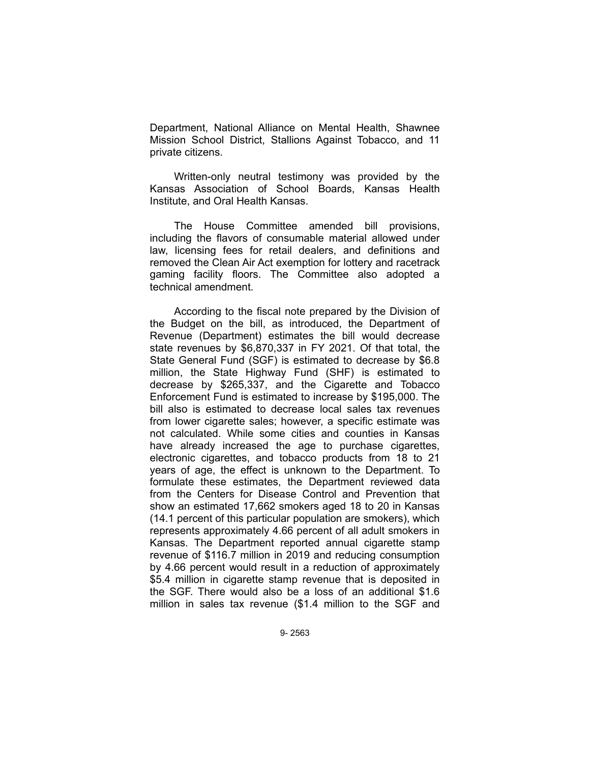Department, National Alliance on Mental Health, Shawnee Mission School District, Stallions Against Tobacco, and 11 private citizens.

Written-only neutral testimony was provided by the Kansas Association of School Boards, Kansas Health Institute, and Oral Health Kansas.

The House Committee amended bill provisions, including the flavors of consumable material allowed under law, licensing fees for retail dealers, and definitions and removed the Clean Air Act exemption for lottery and racetrack gaming facility floors. The Committee also adopted a technical amendment.

According to the fiscal note prepared by the Division of the Budget on the bill, as introduced, the Department of Revenue (Department) estimates the bill would decrease state revenues by \$6,870,337 in FY 2021. Of that total, the State General Fund (SGF) is estimated to decrease by \$6.8 million, the State Highway Fund (SHF) is estimated to decrease by \$265,337, and the Cigarette and Tobacco Enforcement Fund is estimated to increase by \$195,000. The bill also is estimated to decrease local sales tax revenues from lower cigarette sales; however, a specific estimate was not calculated. While some cities and counties in Kansas have already increased the age to purchase cigarettes, electronic cigarettes, and tobacco products from 18 to 21 years of age, the effect is unknown to the Department. To formulate these estimates, the Department reviewed data from the Centers for Disease Control and Prevention that show an estimated 17,662 smokers aged 18 to 20 in Kansas (14.1 percent of this particular population are smokers), which represents approximately 4.66 percent of all adult smokers in Kansas. The Department reported annual cigarette stamp revenue of \$116.7 million in 2019 and reducing consumption by 4.66 percent would result in a reduction of approximately \$5.4 million in cigarette stamp revenue that is deposited in the SGF. There would also be a loss of an additional \$1.6 million in sales tax revenue (\$1.4 million to the SGF and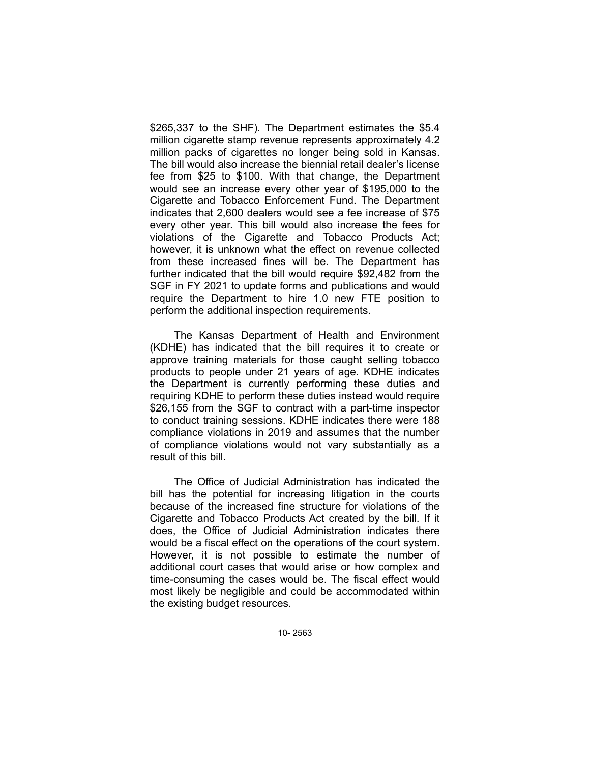\$265,337 to the SHF). The Department estimates the \$5.4 million cigarette stamp revenue represents approximately 4.2 million packs of cigarettes no longer being sold in Kansas. The bill would also increase the biennial retail dealer's license fee from \$25 to \$100. With that change, the Department would see an increase every other year of \$195,000 to the Cigarette and Tobacco Enforcement Fund. The Department indicates that 2,600 dealers would see a fee increase of \$75 every other year. This bill would also increase the fees for violations of the Cigarette and Tobacco Products Act; however, it is unknown what the effect on revenue collected from these increased fines will be. The Department has further indicated that the bill would require \$92,482 from the SGF in FY 2021 to update forms and publications and would require the Department to hire 1.0 new FTE position to perform the additional inspection requirements.

The Kansas Department of Health and Environment (KDHE) has indicated that the bill requires it to create or approve training materials for those caught selling tobacco products to people under 21 years of age. KDHE indicates the Department is currently performing these duties and requiring KDHE to perform these duties instead would require \$26,155 from the SGF to contract with a part-time inspector to conduct training sessions. KDHE indicates there were 188 compliance violations in 2019 and assumes that the number of compliance violations would not vary substantially as a result of this bill.

The Office of Judicial Administration has indicated the bill has the potential for increasing litigation in the courts because of the increased fine structure for violations of the Cigarette and Tobacco Products Act created by the bill. If it does, the Office of Judicial Administration indicates there would be a fiscal effect on the operations of the court system. However, it is not possible to estimate the number of additional court cases that would arise or how complex and time-consuming the cases would be. The fiscal effect would most likely be negligible and could be accommodated within the existing budget resources.